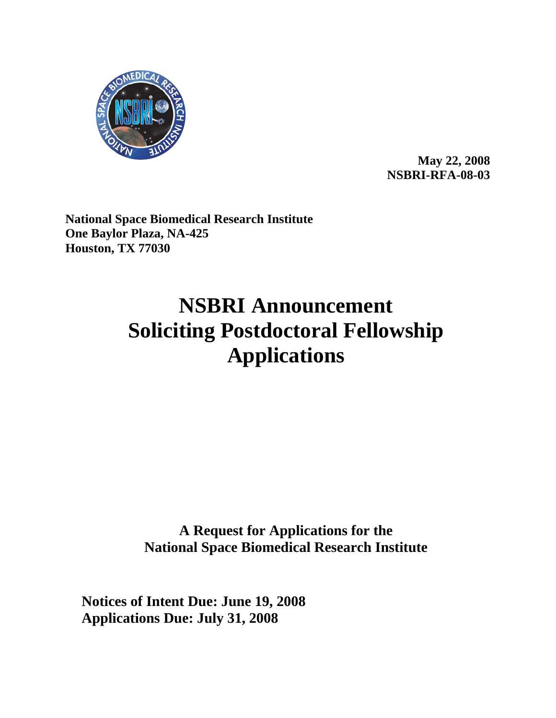

**May 22, 2008 NSBRI-RFA-08-03** 

**National Space Biomedical Research Institute One Baylor Plaza, NA-425 Houston, TX 77030**

# **NSBRI Announcement Soliciting Postdoctoral Fellowship Applications**

**A Request for Applications for the National Space Biomedical Research Institute**

**Notices of Intent Due: June 19, 2008 Applications Due: July 31, 2008**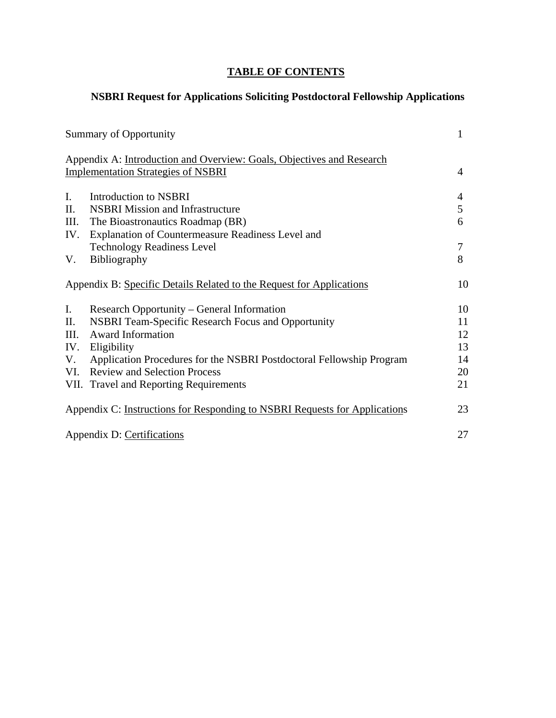# **TABLE OF CONTENTS**

# **NSBRI Request for Applications Soliciting Postdoctoral Fellowship Applications**

|                                                                            | Summary of Opportunity                                                | 1  |
|----------------------------------------------------------------------------|-----------------------------------------------------------------------|----|
|                                                                            | Appendix A: Introduction and Overview: Goals, Objectives and Research |    |
|                                                                            | <b>Implementation Strategies of NSBRI</b>                             | 4  |
| $I_{\cdot}$                                                                | Introduction to NSBRI                                                 | 4  |
| П.                                                                         | <b>NSBRI</b> Mission and Infrastructure                               | 5  |
| III.                                                                       | The Bioastronautics Roadmap (BR)                                      | 6  |
| IV.                                                                        | Explanation of Countermeasure Readiness Level and                     |    |
|                                                                            | <b>Technology Readiness Level</b>                                     | 7  |
| V.                                                                         | Bibliography                                                          | 8  |
|                                                                            | Appendix B: Specific Details Related to the Request for Applications  | 10 |
| Ι.                                                                         | Research Opportunity – General Information                            | 10 |
| П.                                                                         | <b>NSBRI Team-Specific Research Focus and Opportunity</b>             | 11 |
| III.                                                                       | <b>Award Information</b>                                              | 12 |
| IV.                                                                        | Eligibility                                                           | 13 |
| V.                                                                         | Application Procedures for the NSBRI Postdoctoral Fellowship Program  | 14 |
| VI.                                                                        | <b>Review and Selection Process</b>                                   | 20 |
|                                                                            | VII. Travel and Reporting Requirements                                | 21 |
| Appendix C: Instructions for Responding to NSBRI Requests for Applications |                                                                       | 23 |
| Appendix D: Certifications                                                 |                                                                       | 27 |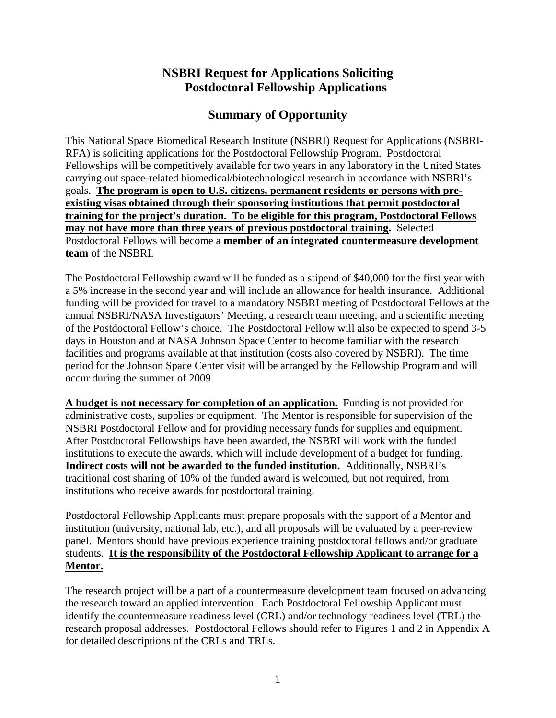# **NSBRI Request for Applications Soliciting Postdoctoral Fellowship Applications**

# **Summary of Opportunity**

This National Space Biomedical Research Institute (NSBRI) Request for Applications (NSBRI-RFA) is soliciting applications for the Postdoctoral Fellowship Program. Postdoctoral Fellowships will be competitively available for two years in any laboratory in the United States carrying out space-related biomedical/biotechnological research in accordance with NSBRI's goals. **The program is open to U.S. citizens, permanent residents or persons with preexisting visas obtained through their sponsoring institutions that permit postdoctoral training for the project's duration. To be eligible for this program, Postdoctoral Fellows may not have more than three years of previous postdoctoral training.** Selected Postdoctoral Fellows will become a **member of an integrated countermeasure development team** of the NSBRI.

The Postdoctoral Fellowship award will be funded as a stipend of \$40,000 for the first year with a 5% increase in the second year and will include an allowance for health insurance. Additional funding will be provided for travel to a mandatory NSBRI meeting of Postdoctoral Fellows at the annual NSBRI/NASA Investigators' Meeting, a research team meeting, and a scientific meeting of the Postdoctoral Fellow's choice. The Postdoctoral Fellow will also be expected to spend 3-5 days in Houston and at NASA Johnson Space Center to become familiar with the research facilities and programs available at that institution (costs also covered by NSBRI). The time period for the Johnson Space Center visit will be arranged by the Fellowship Program and will occur during the summer of 2009.

**A budget is not necessary for completion of an application.** Funding is not provided for administrative costs, supplies or equipment. The Mentor is responsible for supervision of the NSBRI Postdoctoral Fellow and for providing necessary funds for supplies and equipment. After Postdoctoral Fellowships have been awarded, the NSBRI will work with the funded institutions to execute the awards, which will include development of a budget for funding. **Indirect costs will not be awarded to the funded institution.** Additionally, NSBRI's traditional cost sharing of 10% of the funded award is welcomed, but not required, from institutions who receive awards for postdoctoral training.

Postdoctoral Fellowship Applicants must prepare proposals with the support of a Mentor and institution (university, national lab, etc.), and all proposals will be evaluated by a peer-review panel. Mentors should have previous experience training postdoctoral fellows and/or graduate students. **It is the responsibility of the Postdoctoral Fellowship Applicant to arrange for a Mentor.**

The research project will be a part of a countermeasure development team focused on advancing the research toward an applied intervention. Each Postdoctoral Fellowship Applicant must identify the countermeasure readiness level (CRL) and/or technology readiness level (TRL) the research proposal addresses. Postdoctoral Fellows should refer to Figures 1 and 2 in Appendix A for detailed descriptions of the CRLs and TRLs.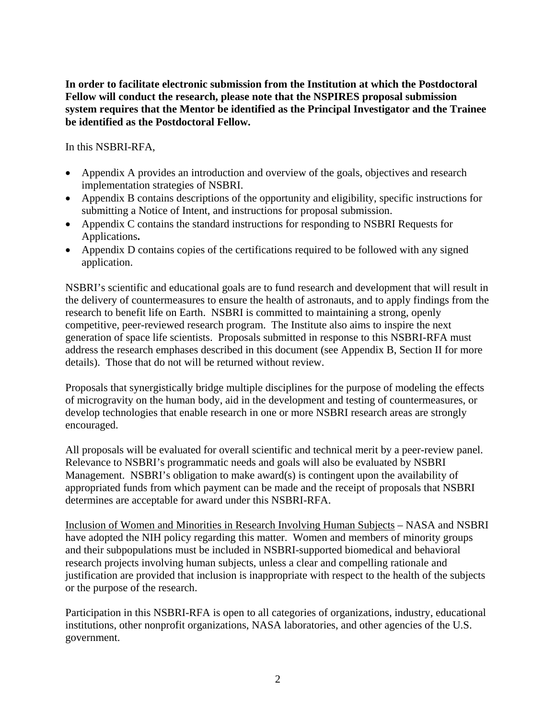**In order to facilitate electronic submission from the Institution at which the Postdoctoral Fellow will conduct the research, please note that the NSPIRES proposal submission system requires that the Mentor be identified as the Principal Investigator and the Trainee be identified as the Postdoctoral Fellow.** 

In this NSBRI-RFA,

- Appendix A provides an introduction and overview of the goals, objectives and research implementation strategies of NSBRI.
- Appendix B contains descriptions of the opportunity and eligibility, specific instructions for submitting a Notice of Intent, and instructions for proposal submission.
- Appendix C contains the standard instructions for responding to NSBRI Requests for Applications**.**
- Appendix D contains copies of the certifications required to be followed with any signed application.

NSBRI's scientific and educational goals are to fund research and development that will result in the delivery of countermeasures to ensure the health of astronauts, and to apply findings from the research to benefit life on Earth. NSBRI is committed to maintaining a strong, openly competitive, peer-reviewed research program. The Institute also aims to inspire the next generation of space life scientists. Proposals submitted in response to this NSBRI-RFA must address the research emphases described in this document (see Appendix B, Section II for more details). Those that do not will be returned without review.

Proposals that synergistically bridge multiple disciplines for the purpose of modeling the effects of microgravity on the human body, aid in the development and testing of countermeasures, or develop technologies that enable research in one or more NSBRI research areas are strongly encouraged.

All proposals will be evaluated for overall scientific and technical merit by a peer-review panel. Relevance to NSBRI's programmatic needs and goals will also be evaluated by NSBRI Management. NSBRI's obligation to make award(s) is contingent upon the availability of appropriated funds from which payment can be made and the receipt of proposals that NSBRI determines are acceptable for award under this NSBRI-RFA.

Inclusion of Women and Minorities in Research Involving Human Subjects – NASA and NSBRI have adopted the NIH policy regarding this matter. Women and members of minority groups and their subpopulations must be included in NSBRI-supported biomedical and behavioral research projects involving human subjects, unless a clear and compelling rationale and justification are provided that inclusion is inappropriate with respect to the health of the subjects or the purpose of the research.

Participation in this NSBRI-RFA is open to all categories of organizations, industry, educational institutions, other nonprofit organizations, NASA laboratories, and other agencies of the U.S. government.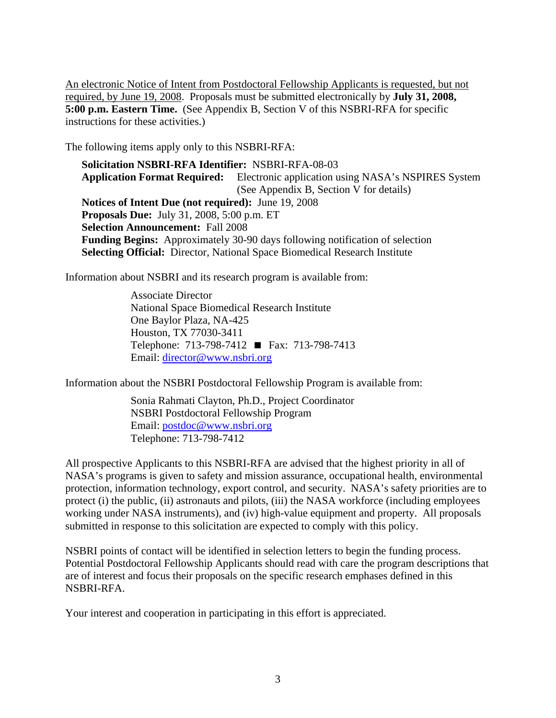An electronic Notice of Intent from Postdoctoral Fellowship Applicants is requested, but not required, by June 19, 2008. Proposals must be submitted electronically by **July 31, 2008, 5:00 p.m. Eastern Time.** (See Appendix B, Section V of this NSBRI-RFA for specific instructions for these activities.)

The following items apply only to this NSBRI-RFA:

**Solicitation NSBRI-RFA Identifier:** NSBRI-RFA-08-03 **Application Format Required:** Electronic application using NASA's NSPIRES System (See Appendix B, Section V for details) **Notices of Intent Due (not required):** June 19, 2008 **Proposals Due:** July 31, 2008, 5:00 p.m. ET **Selection Announcement:** Fall 2008 **Funding Begins:** Approximately 30-90 days following notification of selection **Selecting Official:** Director, National Space Biomedical Research Institute

Information about NSBRI and its research program is available from:

Associate Director National Space Biomedical Research Institute One Baylor Plaza, NA-425 Houston, TX 77030-3411 Telephone: 713-798-7412 ■ Fax: 713-798-7413 Email: [director@www.nsbri.org](mailto:director@www.nsbri.org)

Information about the NSBRI Postdoctoral Fellowship Program is available from:

Sonia Rahmati Clayton, Ph.D., Project Coordinator NSBRI Postdoctoral Fellowship Program Email: [postdoc@www.nsbri.org](mailto:postdoc@www.nsbri.org) Telephone: 713-798-7412

All prospective Applicants to this NSBRI-RFA are advised that the highest priority in all of NASA's programs is given to safety and mission assurance, occupational health, environmental protection, information technology, export control, and security. NASA's safety priorities are to protect (i) the public, (ii) astronauts and pilots, (iii) the NASA workforce (including employees working under NASA instruments), and (iv) high-value equipment and property. All proposals submitted in response to this solicitation are expected to comply with this policy.

NSBRI points of contact will be identified in selection letters to begin the funding process. Potential Postdoctoral Fellowship Applicants should read with care the program descriptions that are of interest and focus their proposals on the specific research emphases defined in this NSBRI-RFA.

Your interest and cooperation in participating in this effort is appreciated.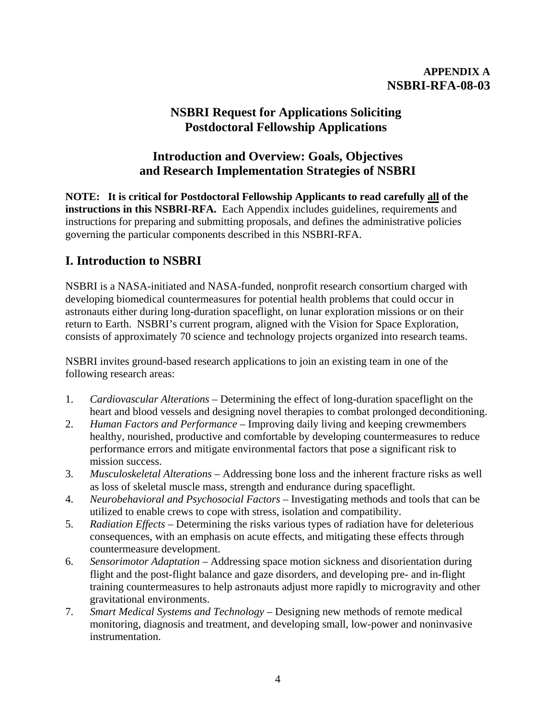## **APPENDIX A NSBRI-RFA-08-03**

# **NSBRI Request for Applications Soliciting Postdoctoral Fellowship Applications**

# **Introduction and Overview: Goals, Objectives and Research Implementation Strategies of NSBRI**

**NOTE: It is critical for Postdoctoral Fellowship Applicants to read carefully all of the instructions in this NSBRI-RFA.** Each Appendix includes guidelines, requirements and instructions for preparing and submitting proposals, and defines the administrative policies governing the particular components described in this NSBRI-RFA.

# **I. Introduction to NSBRI**

NSBRI is a NASA-initiated and NASA-funded, nonprofit research consortium charged with developing biomedical countermeasures for potential health problems that could occur in astronauts either during long-duration spaceflight, on lunar exploration missions or on their return to Earth. NSBRI's current program, aligned with the Vision for Space Exploration, consists of approximately 70 science and technology projects organized into research teams.

NSBRI invites ground-based research applications to join an existing team in one of the following research areas:

- 1. *Cardiovascular Alterations* Determining the effect of long-duration spaceflight on the heart and blood vessels and designing novel therapies to combat prolonged deconditioning.
- 2. *Human Factors and Performance* Improving daily living and keeping crewmembers healthy, nourished, productive and comfortable by developing countermeasures to reduce performance errors and mitigate environmental factors that pose a significant risk to mission success.
- 3. *Musculoskeletal Alterations*  Addressing bone loss and the inherent fracture risks as well as loss of skeletal muscle mass, strength and endurance during spaceflight.
- 4. *Neurobehavioral and Psychosocial Factors* Investigating methods and tools that can be utilized to enable crews to cope with stress, isolation and compatibility.
- 5. *Radiation Effects* Determining the risks various types of radiation have for deleterious consequences, with an emphasis on acute effects, and mitigating these effects through countermeasure development.
- 6. *Sensorimotor Adaptation* Addressing space motion sickness and disorientation during flight and the post-flight balance and gaze disorders, and developing pre- and in-flight training countermeasures to help astronauts adjust more rapidly to microgravity and other gravitational environments.
- 7. *Smart Medical Systems and Technology*  Designing new methods of remote medical monitoring, diagnosis and treatment, and developing small, low-power and noninvasive instrumentation.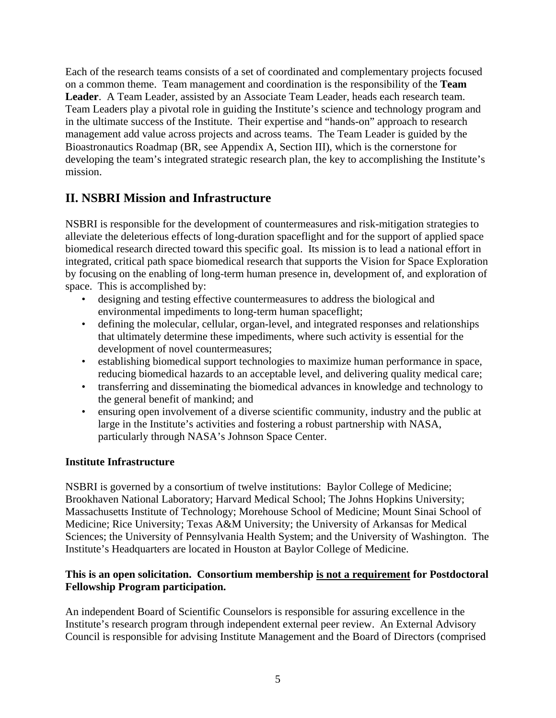Each of the research teams consists of a set of coordinated and complementary projects focused on a common theme. Team management and coordination is the responsibility of the **Team Leader**. A Team Leader, assisted by an Associate Team Leader, heads each research team. Team Leaders play a pivotal role in guiding the Institute's science and technology program and in the ultimate success of the Institute. Their expertise and "hands-on" approach to research management add value across projects and across teams. The Team Leader is guided by the Bioastronautics Roadmap (BR, see Appendix A, Section III), which is the cornerstone for developing the team's integrated strategic research plan, the key to accomplishing the Institute's mission.

# **II. NSBRI Mission and Infrastructure**

NSBRI is responsible for the development of countermeasures and risk-mitigation strategies to alleviate the deleterious effects of long-duration spaceflight and for the support of applied space biomedical research directed toward this specific goal. Its mission is to lead a national effort in integrated, critical path space biomedical research that supports the Vision for Space Exploration by focusing on the enabling of long-term human presence in, development of, and exploration of space. This is accomplished by:

- designing and testing effective countermeasures to address the biological and environmental impediments to long-term human spaceflight;
- defining the molecular, cellular, organ-level, and integrated responses and relationships that ultimately determine these impediments, where such activity is essential for the development of novel countermeasures;
- establishing biomedical support technologies to maximize human performance in space, reducing biomedical hazards to an acceptable level, and delivering quality medical care;
- transferring and disseminating the biomedical advances in knowledge and technology to the general benefit of mankind; and
- ensuring open involvement of a diverse scientific community, industry and the public at large in the Institute's activities and fostering a robust partnership with NASA, particularly through NASA's Johnson Space Center.

## **Institute Infrastructure**

NSBRI is governed by a consortium of twelve institutions: Baylor College of Medicine; Brookhaven National Laboratory; Harvard Medical School; The Johns Hopkins University; Massachusetts Institute of Technology; Morehouse School of Medicine; Mount Sinai School of Medicine; Rice University; Texas A&M University; the University of Arkansas for Medical Sciences; the University of Pennsylvania Health System; and the University of Washington. The Institute's Headquarters are located in Houston at Baylor College of Medicine.

#### **This is an open solicitation. Consortium membership is not a requirement for Postdoctoral Fellowship Program participation.**

An independent Board of Scientific Counselors is responsible for assuring excellence in the Institute's research program through independent external peer review. An External Advisory Council is responsible for advising Institute Management and the Board of Directors (comprised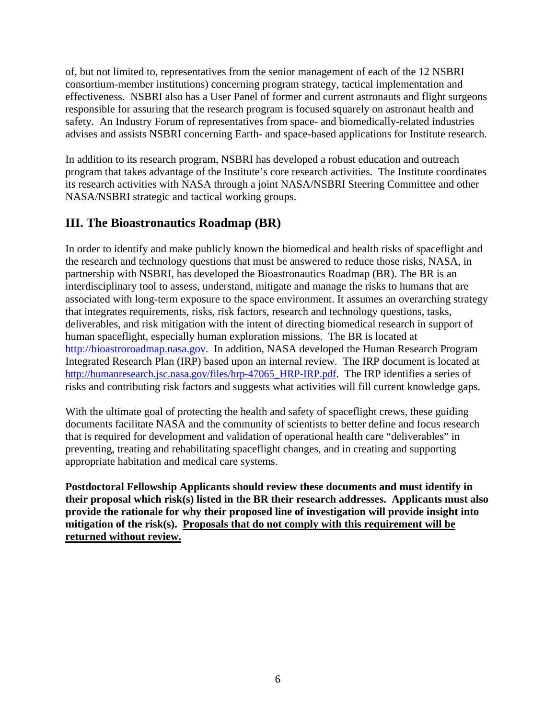of, but not limited to, representatives from the senior management of each of the 12 NSBRI consortium-member institutions) concerning program strategy, tactical implementation and effectiveness. NSBRI also has a User Panel of former and current astronauts and flight surgeons responsible for assuring that the research program is focused squarely on astronaut health and safety. An Industry Forum of representatives from space- and biomedically-related industries advises and assists NSBRI concerning Earth- and space-based applications for Institute research.

In addition to its research program, NSBRI has developed a robust education and outreach program that takes advantage of the Institute's core research activities. The Institute coordinates its research activities with NASA through a joint NASA/NSBRI Steering Committee and other NASA/NSBRI strategic and tactical working groups.

# **III. The Bioastronautics Roadmap (BR)**

In order to identify and make publicly known the biomedical and health risks of spaceflight and the research and technology questions that must be answered to reduce those risks, NASA, in partnership with NSBRI, has developed the Bioastronautics Roadmap (BR). The BR is an interdisciplinary tool to assess, understand, mitigate and manage the risks to humans that are associated with long-term exposure to the space environment. It assumes an overarching strategy that integrates requirements, risks, risk factors, research and technology questions, tasks, deliverables, and risk mitigation with the intent of directing biomedical research in support of human spaceflight, especially human exploration missions. The BR is located at [http://bioastroroadmap.nasa.gov.](http://bioastroroadmap.nasa.gov/) In addition, NASA developed the Human Research Program Integrated Research Plan (IRP) based upon an internal review. The IRP document is located at [http://humanresearch.jsc.nasa.gov/files/hrp-47065\\_HRP-IRP.pdf](http://humanresearch.jsc.nasa.gov/files/hrp-47065_HRP-IRP.pdf). The IRP identifies a series of risks and contributing risk factors and suggests what activities will fill current knowledge gaps.

With the ultimate goal of protecting the health and safety of spaceflight crews, these guiding documents facilitate NASA and the community of scientists to better define and focus research that is required for development and validation of operational health care "deliverables" in preventing, treating and rehabilitating spaceflight changes, and in creating and supporting appropriate habitation and medical care systems.

**Postdoctoral Fellowship Applicants should review these documents and must identify in their proposal which risk(s) listed in the BR their research addresses. Applicants must also provide the rationale for why their proposed line of investigation will provide insight into mitigation of the risk(s). Proposals that do not comply with this requirement will be returned without review.**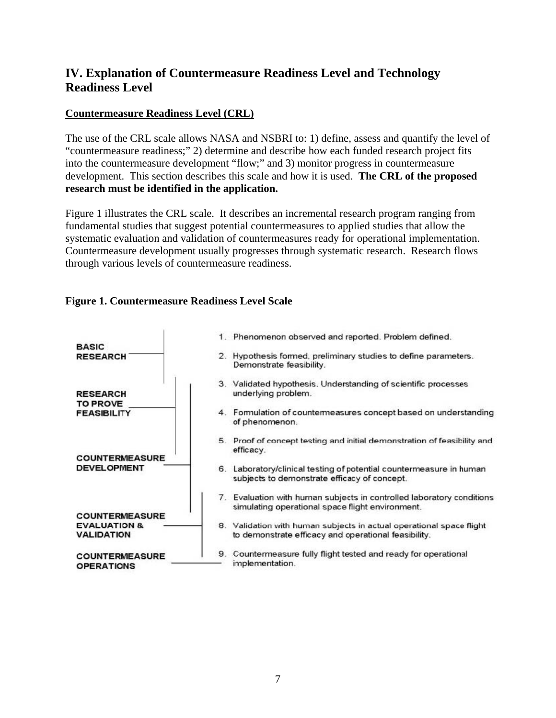# **IV. Explanation of Countermeasure Readiness Level and Technology Readiness Level**

## **Countermeasure Readiness Level (CRL)**

The use of the CRL scale allows NASA and NSBRI to: 1) define, assess and quantify the level of "countermeasure readiness;" 2) determine and describe how each funded research project fits into the countermeasure development "flow;" and 3) monitor progress in countermeasure development. This section describes this scale and how it is used. **The CRL of the proposed research must be identified in the application.** 

Figure 1 illustrates the CRL scale. It describes an incremental research program ranging from fundamental studies that suggest potential countermeasures to applied studies that allow the systematic evaluation and validation of countermeasures ready for operational implementation. Countermeasure development usually progresses through systematic research. Research flows through various levels of countermeasure readiness.

## **Figure 1. Countermeasure Readiness Level Scale**

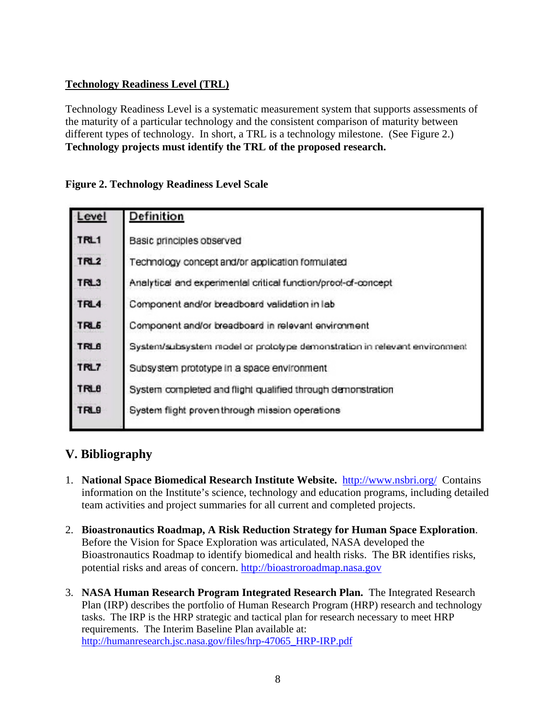## **Technology Readiness Level (TRL)**

Technology Readiness Level is a systematic measurement system that supports assessments of the maturity of a particular technology and the consistent comparison of maturity between different types of technology. In short, a TRL is a technology milestone. (See Figure 2.) **Technology projects must identify the TRL of the proposed research.**

## **Figure 2. Technology Readiness Level Scale**

| Level            | Definition                                                                |
|------------------|---------------------------------------------------------------------------|
| TRL1             | Basic principles observed                                                 |
| TRL <sub>2</sub> | Technology concept and/or application formulated                          |
| TRL3             | Analytical and experimental critical function/prool-of-concept            |
| TRL4             | Component and/or breadboard validation in lab                             |
| TRL <sub>6</sub> | Component and/or breadboard in relevant environment                       |
| <b>TRL6</b>      | System/subsystem model or prototype demonstration in relevant environment |
| TRL7             | Subsystem prototype in a space environment                                |
| <b>TRLB</b>      | System completed and flight qualified through demonstration               |
| TRL9             | System flight proven through mission operations                           |
|                  |                                                                           |

# **V. Bibliography**

- 1. **National Space Biomedical Research Institute Website.** <http://www.nsbri.org/> Contains information on the Institute's science, technology and education programs, including detailed team activities and project summaries for all current and completed projects.
- 2. **Bioastronautics Roadmap, A Risk Reduction Strategy for Human Space Exploration**. Before the Vision for Space Exploration was articulated, NASA developed the Bioastronautics Roadmap to identify biomedical and health risks. The BR identifies risks, potential risks and areas of concern. [http://bioastroroadmap.nasa.gov](http://bioastroroadmap.nasa.gov/)
- 3. **NASA Human Research Program Integrated Research Plan.** The Integrated Research Plan (IRP) describes the portfolio of Human Research Program (HRP) research and technology tasks. The IRP is the HRP strategic and tactical plan for research necessary to meet HRP requirements. The Interim Baseline Plan available at: [http://humanresearch.jsc.nasa.gov/files/hrp-47065\\_HRP-IRP.pdf](http://humanresearch.jsc.nasa.gov/files/hrp-47065_HRP-IRP.pdf)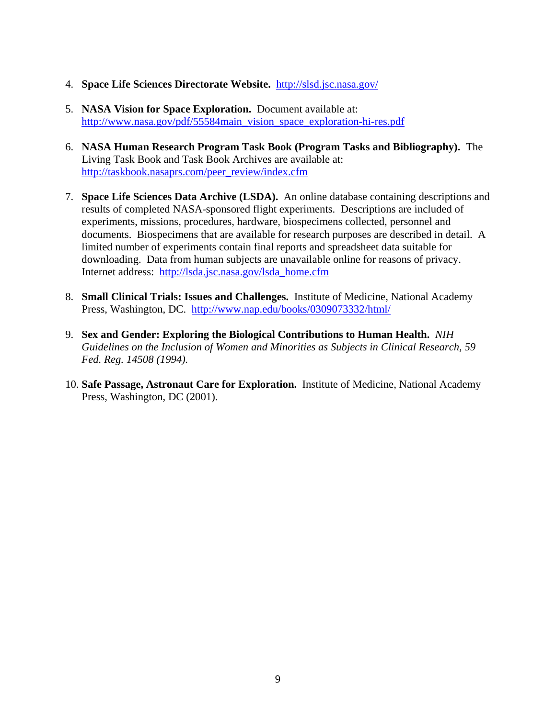- 4. **Space Life Sciences Directorate Website.** <http://slsd.jsc.nasa.gov/>
- 5. **NASA Vision for Space Exploration.** Document available at: [http://www.nasa.gov/pdf/55584main\\_vision\\_space\\_exploration-hi-res.pdf](http://www.nasa.gov/pdf/55584main_vision_space_exploration-hi-res.pdf)
- 6. **NASA Human Research Program Task Book (Program Tasks and Bibliography).** The Living Task Book and Task Book Archives are available at: [http://taskbook.nasaprs.com/peer\\_review/index.cfm](http://taskbook.nasaprs.com/peer_review/index.cfm)
- 7. **Space Life Sciences Data Archive (LSDA).** An online database containing descriptions and results of completed NASA-sponsored flight experiments. Descriptions are included of experiments, missions, procedures, hardware, biospecimens collected, personnel and documents. Biospecimens that are available for research purposes are described in detail. A limited number of experiments contain final reports and spreadsheet data suitable for downloading. Data from human subjects are unavailable online for reasons of privacy. Internet address: [http://lsda.jsc.nasa.gov/lsda\\_home.cfm](http://lsda.jsc.nasa.gov/lsda_home.cfm)
- 8. **Small Clinical Trials: Issues and Challenges.** Institute of Medicine, National Academy Press, Washington, DC. <http://www.nap.edu/books/0309073332/html/>
- 9. **Sex and Gender: Exploring the Biological Contributions to Human Health.** *NIH Guidelines on the Inclusion of Women and Minorities as Subjects in Clinical Research, 59 Fed. Reg. 14508 (1994).*
- 10. **Safe Passage, Astronaut Care for Exploration.** Institute of Medicine, National Academy Press, Washington, DC (2001).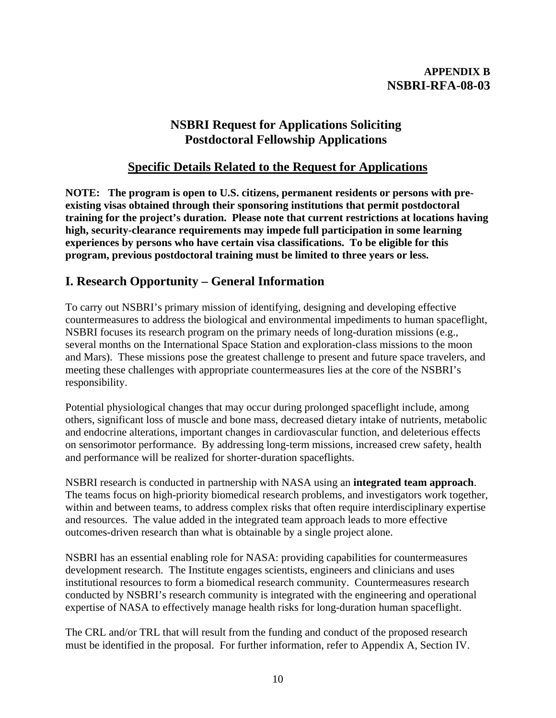## **APPENDIX B NSBRI-RFA-08-03**

# **NSBRI Request for Applications Soliciting Postdoctoral Fellowship Applications**

# **Specific Details Related to the Request for Applications**

**NOTE: The program is open to U.S. citizens, permanent residents or persons with preexisting visas obtained through their sponsoring institutions that permit postdoctoral training for the project's duration. Please note that current restrictions at locations having high, security-clearance requirements may impede full participation in some learning experiences by persons who have certain visa classifications. To be eligible for this program, previous postdoctoral training must be limited to three years or less.** 

# **I. Research Opportunity – General Information**

To carry out NSBRI's primary mission of identifying, designing and developing effective countermeasures to address the biological and environmental impediments to human spaceflight, NSBRI focuses its research program on the primary needs of long-duration missions (e.g., several months on the International Space Station and exploration-class missions to the moon and Mars). These missions pose the greatest challenge to present and future space travelers, and meeting these challenges with appropriate countermeasures lies at the core of the NSBRI's responsibility.

Potential physiological changes that may occur during prolonged spaceflight include, among others, significant loss of muscle and bone mass, decreased dietary intake of nutrients, metabolic and endocrine alterations, important changes in cardiovascular function, and deleterious effects on sensorimotor performance. By addressing long-term missions, increased crew safety, health and performance will be realized for shorter-duration spaceflights.

NSBRI research is conducted in partnership with NASA using an **integrated team approach**. The teams focus on high-priority biomedical research problems, and investigators work together, within and between teams, to address complex risks that often require interdisciplinary expertise and resources. The value added in the integrated team approach leads to more effective outcomes-driven research than what is obtainable by a single project alone.

NSBRI has an essential enabling role for NASA: providing capabilities for countermeasures development research. The Institute engages scientists, engineers and clinicians and uses institutional resources to form a biomedical research community. Countermeasures research conducted by NSBRI's research community is integrated with the engineering and operational expertise of NASA to effectively manage health risks for long-duration human spaceflight.

The CRL and/or TRL that will result from the funding and conduct of the proposed research must be identified in the proposal. For further information, refer to Appendix A, Section IV.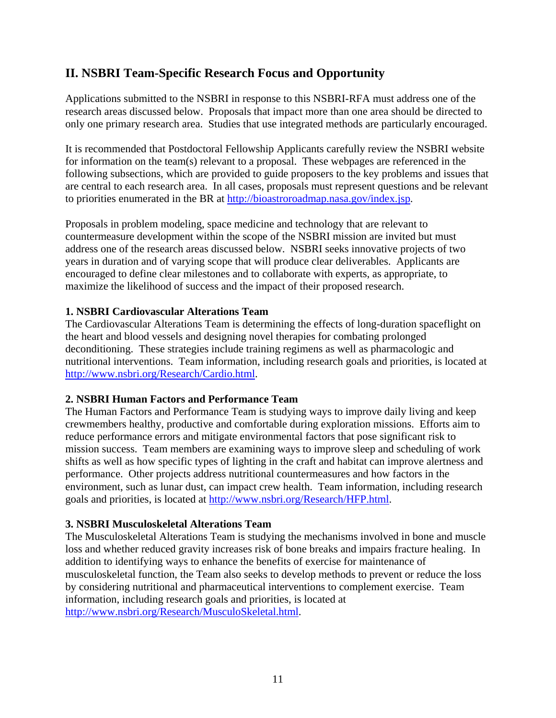# **II. NSBRI Team-Specific Research Focus and Opportunity**

Applications submitted to the NSBRI in response to this NSBRI-RFA must address one of the research areas discussed below. Proposals that impact more than one area should be directed to only one primary research area. Studies that use integrated methods are particularly encouraged.

It is recommended that Postdoctoral Fellowship Applicants carefully review the NSBRI website for information on the team(s) relevant to a proposal. These webpages are referenced in the following subsections, which are provided to guide proposers to the key problems and issues that are central to each research area. In all cases, proposals must represent questions and be relevant to priorities enumerated in the BR at [http://bioastroroadmap.nasa.gov/index.jsp.](http://bioastroroadmap.nasa.gov/index.jsp)

Proposals in problem modeling, space medicine and technology that are relevant to countermeasure development within the scope of the NSBRI mission are invited but must address one of the research areas discussed below. NSBRI seeks innovative projects of two years in duration and of varying scope that will produce clear deliverables. Applicants are encouraged to define clear milestones and to collaborate with experts, as appropriate, to maximize the likelihood of success and the impact of their proposed research.

## **1. NSBRI Cardiovascular Alterations Team**

The Cardiovascular Alterations Team is determining the effects of long-duration spaceflight on the heart and blood vessels and designing novel therapies for combating prolonged deconditioning. These strategies include training regimens as well as pharmacologic and nutritional interventions. Team information, including research goals and priorities, is located at [http://www.nsbri.org/Research/Cardio.html.](http://www.nsbri.org/Research/Cardio.html)

## **2. NSBRI Human Factors and Performance Team**

The Human Factors and Performance Team is studying ways to improve daily living and keep crewmembers healthy, productive and comfortable during exploration missions. Efforts aim to reduce performance errors and mitigate environmental factors that pose significant risk to mission success. Team members are examining ways to improve sleep and scheduling of work shifts as well as how specific types of lighting in the craft and habitat can improve alertness and performance. Other projects address nutritional countermeasures and how factors in the environment, such as lunar dust, can impact crew health. Team information, including research goals and priorities, is located at [http://www.nsbri.org/Research/HFP.html.](http://www.nsbri.org/Research/HFP.html)

#### **3. NSBRI Musculoskeletal Alterations Team**

The Musculoskeletal Alterations Team is studying the mechanisms involved in bone and muscle loss and whether reduced gravity increases risk of bone breaks and impairs fracture healing. In addition to identifying ways to enhance the benefits of exercise for maintenance of musculoskeletal function, the Team also seeks to develop methods to prevent or reduce the loss by considering nutritional and pharmaceutical interventions to complement exercise. Team information, including research goals and priorities, is located at [http://www.nsbri.org/Research/MusculoSkeletal.html.](http://www.nsbri.org/Research/MusculoSkeletal.html)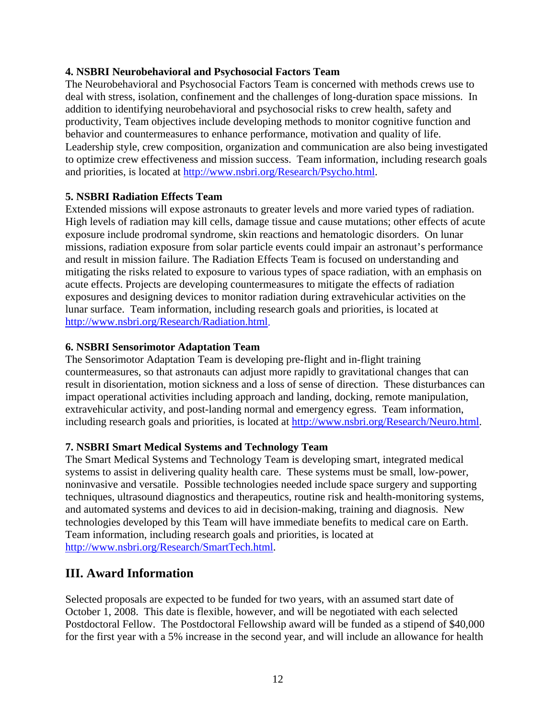## **4. NSBRI Neurobehavioral and Psychosocial Factors Team**

The Neurobehavioral and Psychosocial Factors Team is concerned with methods crews use to deal with stress, isolation, confinement and the challenges of long-duration space missions. In addition to identifying neurobehavioral and psychosocial risks to crew health, safety and productivity, Team objectives include developing methods to monitor cognitive function and behavior and countermeasures to enhance performance, motivation and quality of life. Leadership style, crew composition, organization and communication are also being investigated to optimize crew effectiveness and mission success. Team information, including research goals and priorities, is located at [http://www.nsbri.org/Research/Psycho.html.](http://www.nsbri.org/Research/Psycho.html)

## **5. NSBRI Radiation Effects Team**

Extended missions will expose astronauts to greater levels and more varied types of radiation. High levels of radiation may kill cells, damage tissue and cause mutations; other effects of acute exposure include prodromal syndrome, skin reactions and hematologic disorders. On lunar missions, radiation exposure from solar particle events could impair an astronaut's performance and result in mission failure. The Radiation Effects Team is focused on understanding and mitigating the risks related to exposure to various types of space radiation, with an emphasis on acute effects. Projects are developing countermeasures to mitigate the effects of radiation exposures and designing devices to monitor radiation during extravehicular activities on the lunar surface. Team information, including research goals and priorities, is located at [http://www.nsbri.org/Research/Radiation.html.](http://www.nsbri.org/Research/Radiation.html)

#### **6. NSBRI Sensorimotor Adaptation Team**

The Sensorimotor Adaptation Team is developing pre-flight and in-flight training countermeasures, so that astronauts can adjust more rapidly to gravitational changes that can result in disorientation, motion sickness and a loss of sense of direction. These disturbances can impact operational activities including approach and landing, docking, remote manipulation, extravehicular activity, and post-landing normal and emergency egress. Team information, including research goals and priorities, is located at [http://www.nsbri.org/Research/Neuro.html.](http://www.nsbri.org/Research/Neuro.html)

## **7. NSBRI Smart Medical Systems and Technology Team**

The Smart Medical Systems and Technology Team is developing smart, integrated medical systems to assist in delivering quality health care. These systems must be small, low-power, noninvasive and versatile. Possible technologies needed include space surgery and supporting techniques, ultrasound diagnostics and therapeutics, routine risk and health-monitoring systems, and automated systems and devices to aid in decision-making, training and diagnosis. New technologies developed by this Team will have immediate benefits to medical care on Earth. Team information, including research goals and priorities, is located at [http://www.nsbri.org/Research/SmartTech.html.](http://www.nsbri.org/Research/SmartTech.html)

## **III. Award Information**

Selected proposals are expected to be funded for two years, with an assumed start date of October 1, 2008. This date is flexible, however, and will be negotiated with each selected Postdoctoral Fellow. The Postdoctoral Fellowship award will be funded as a stipend of \$40,000 for the first year with a 5% increase in the second year, and will include an allowance for health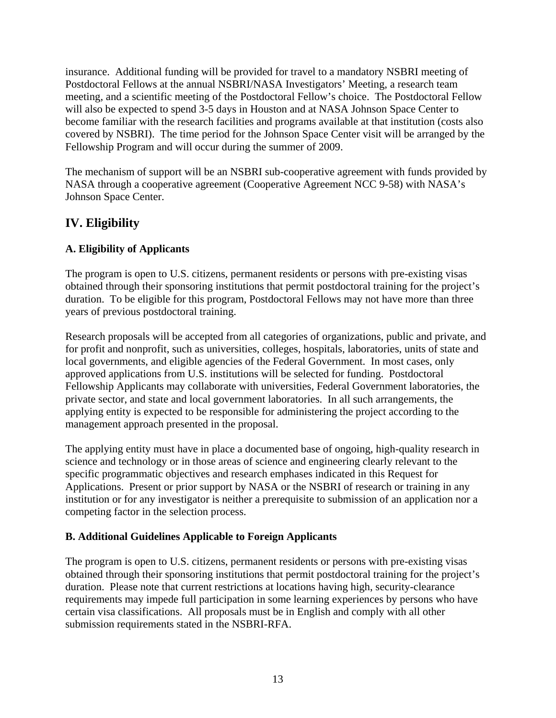insurance. Additional funding will be provided for travel to a mandatory NSBRI meeting of Postdoctoral Fellows at the annual NSBRI/NASA Investigators' Meeting, a research team meeting, and a scientific meeting of the Postdoctoral Fellow's choice. The Postdoctoral Fellow will also be expected to spend 3-5 days in Houston and at NASA Johnson Space Center to become familiar with the research facilities and programs available at that institution (costs also covered by NSBRI). The time period for the Johnson Space Center visit will be arranged by the Fellowship Program and will occur during the summer of 2009.

The mechanism of support will be an NSBRI sub-cooperative agreement with funds provided by NASA through a cooperative agreement (Cooperative Agreement NCC 9-58) with NASA's Johnson Space Center.

# **IV. Eligibility**

## **A. Eligibility of Applicants**

The program is open to U.S. citizens, permanent residents or persons with pre-existing visas obtained through their sponsoring institutions that permit postdoctoral training for the project's duration. To be eligible for this program, Postdoctoral Fellows may not have more than three years of previous postdoctoral training.

Research proposals will be accepted from all categories of organizations, public and private, and for profit and nonprofit, such as universities, colleges, hospitals, laboratories, units of state and local governments, and eligible agencies of the Federal Government. In most cases, only approved applications from U.S. institutions will be selected for funding. Postdoctoral Fellowship Applicants may collaborate with universities, Federal Government laboratories, the private sector, and state and local government laboratories. In all such arrangements, the applying entity is expected to be responsible for administering the project according to the management approach presented in the proposal.

The applying entity must have in place a documented base of ongoing, high-quality research in science and technology or in those areas of science and engineering clearly relevant to the specific programmatic objectives and research emphases indicated in this Request for Applications. Present or prior support by NASA or the NSBRI of research or training in any institution or for any investigator is neither a prerequisite to submission of an application nor a competing factor in the selection process.

## **B. Additional Guidelines Applicable to Foreign Applicants**

The program is open to U.S. citizens, permanent residents or persons with pre-existing visas obtained through their sponsoring institutions that permit postdoctoral training for the project's duration. Please note that current restrictions at locations having high, security-clearance requirements may impede full participation in some learning experiences by persons who have certain visa classifications. All proposals must be in English and comply with all other submission requirements stated in the NSBRI-RFA.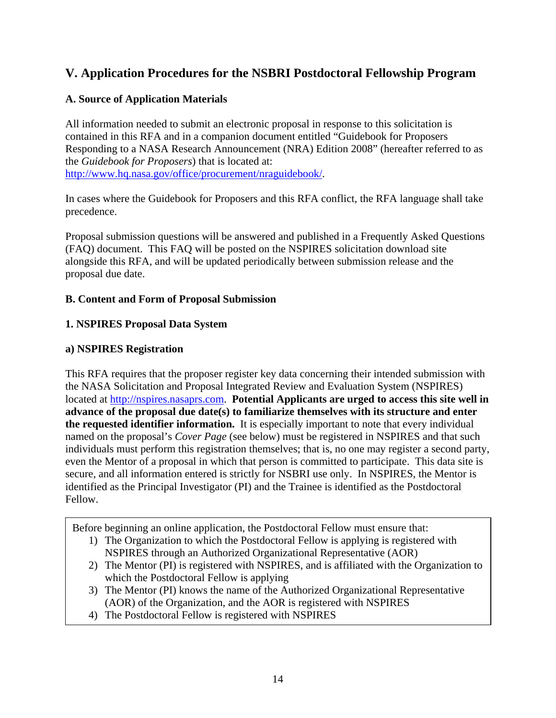# **V. Application Procedures for the NSBRI Postdoctoral Fellowship Program**

## **A. Source of Application Materials**

All information needed to submit an electronic proposal in response to this solicitation is contained in this RFA and in a companion document entitled "Guidebook for Proposers Responding to a NASA Research Announcement (NRA) Edition 2008" (hereafter referred to as the *Guidebook for Proposers*) that is located at: [http://www.hq.nasa.gov/office/procurement/nraguidebook/.](http://www.hq.nasa.gov/office/procurement/nraguidebook/)

In cases where the Guidebook for Proposers and this RFA conflict, the RFA language shall take precedence.

Proposal submission questions will be answered and published in a Frequently Asked Questions (FAQ) document. This FAQ will be posted on the NSPIRES solicitation download site alongside this RFA, and will be updated periodically between submission release and the proposal due date.

## **B. Content and Form of Proposal Submission**

## **1. NSPIRES Proposal Data System**

## **a) NSPIRES Registration**

This RFA requires that the proposer register key data concerning their intended submission with the NASA Solicitation and Proposal Integrated Review and Evaluation System (NSPIRES) located at [http://nspires.nasaprs.com.](http://nspires.nasaprs.com/) **Potential Applicants are urged to access this site well in advance of the proposal due date(s) to familiarize themselves with its structure and enter the requested identifier information.** It is especially important to note that every individual named on the proposal's *Cover Page* (see below) must be registered in NSPIRES and that such individuals must perform this registration themselves; that is, no one may register a second party, even the Mentor of a proposal in which that person is committed to participate. This data site is secure, and all information entered is strictly for NSBRI use only. In NSPIRES, the Mentor is identified as the Principal Investigator (PI) and the Trainee is identified as the Postdoctoral Fellow.

Before beginning an online application, the Postdoctoral Fellow must ensure that:

- 1) The Organization to which the Postdoctoral Fellow is applying is registered with NSPIRES through an Authorized Organizational Representative (AOR)
- 2) The Mentor (PI) is registered with NSPIRES, and is affiliated with the Organization to which the Postdoctoral Fellow is applying
- 3) The Mentor (PI) knows the name of the Authorized Organizational Representative (AOR) of the Organization, and the AOR is registered with NSPIRES
- 4) The Postdoctoral Fellow is registered with NSPIRES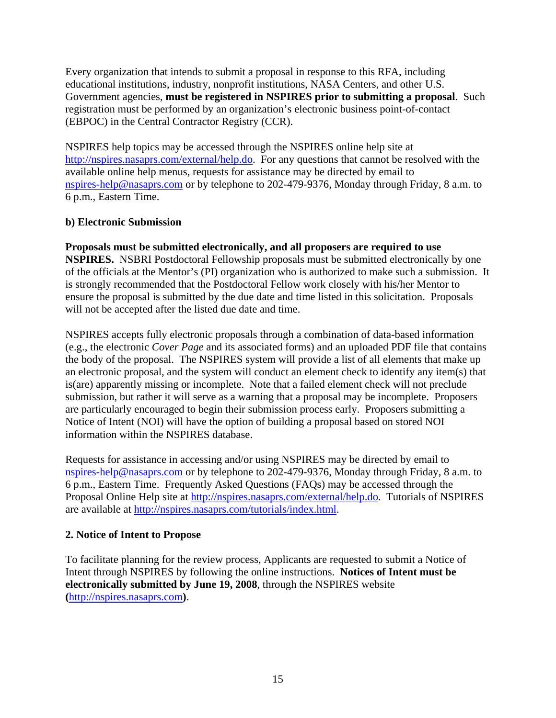Every organization that intends to submit a proposal in response to this RFA, including educational institutions, industry, nonprofit institutions, NASA Centers, and other U.S. Government agencies, **must be registered in NSPIRES prior to submitting a proposal**. Such registration must be performed by an organization's electronic business point-of-contact (EBPOC) in the Central Contractor Registry (CCR).

NSPIRES help topics may be accessed through the NSPIRES online help site at <http://nspires.nasaprs.com/external/help.do>. For any questions that cannot be resolved with the available online help menus, requests for assistance may be directed by email to [nspires-help@nasaprs.com](mailto:nspires-help@nasaprs.com) or by telephone to 202-479-9376, Monday through Friday, 8 a.m. to 6 p.m., Eastern Time.

## **b) Electronic Submission**

**Proposals must be submitted electronically, and all proposers are required to use NSPIRES.** NSBRI Postdoctoral Fellowship proposals must be submitted electronically by one of the officials at the Mentor's (PI) organization who is authorized to make such a submission. It is strongly recommended that the Postdoctoral Fellow work closely with his/her Mentor to ensure the proposal is submitted by the due date and time listed in this solicitation. Proposals will not be accepted after the listed due date and time.

NSPIRES accepts fully electronic proposals through a combination of data-based information (e.g., the electronic *Cover Page* and its associated forms) and an uploaded PDF file that contains the body of the proposal. The NSPIRES system will provide a list of all elements that make up an electronic proposal, and the system will conduct an element check to identify any item(s) that is(are) apparently missing or incomplete. Note that a failed element check will not preclude submission, but rather it will serve as a warning that a proposal may be incomplete. Proposers are particularly encouraged to begin their submission process early. Proposers submitting a Notice of Intent (NOI) will have the option of building a proposal based on stored NOI information within the NSPIRES database.

Requests for assistance in accessing and/or using NSPIRES may be directed by email to [nspires-help@nasaprs.com](mailto:nspires-help@nasaprs.com) or by telephone to 202-479-9376, Monday through Friday, 8 a.m. to 6 p.m., Eastern Time. Frequently Asked Questions (FAQs) may be accessed through the Proposal Online Help site at [http://nspires.nasaprs.com/external/help.do.](http://nspires.nasaprs.com/external/help.do) Tutorials of NSPIRES are available at [http://nspires.nasaprs.com/tutorials/index.html.](http://nspires.nasaprs.com/tutorials/index.html)

## **2. Notice of Intent to Propose**

To facilitate planning for the review process, Applicants are requested to submit a Notice of Intent through NSPIRES by following the online instructions. **Notices of Intent must be electronically submitted by June 19, 2008**, through the NSPIRES website **(**[http://nspires.nasaprs.com](http://nspires.nasaprs.com/)**)**.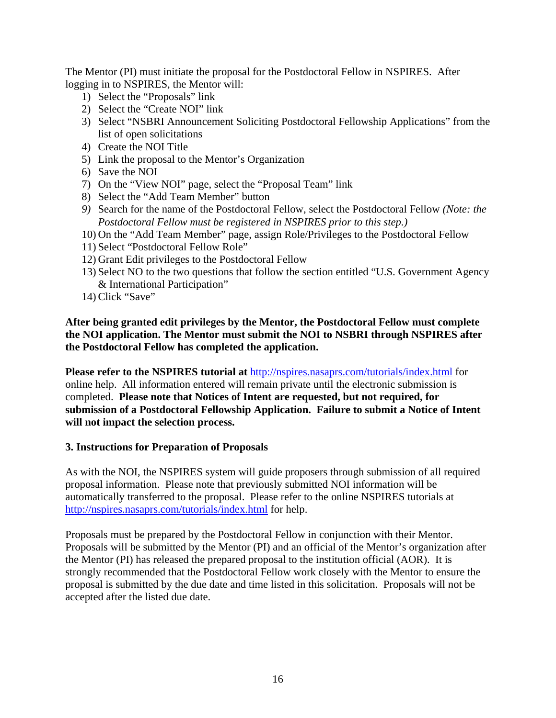The Mentor (PI) must initiate the proposal for the Postdoctoral Fellow in NSPIRES. After logging in to NSPIRES, the Mentor will:

- 1) Select the "Proposals" link
- 2) Select the "Create NOI" link
- 3) Select "NSBRI Announcement Soliciting Postdoctoral Fellowship Applications" from the list of open solicitations
- 4) Create the NOI Title
- 5) Link the proposal to the Mentor's Organization
- 6) Save the NOI
- 7) On the "View NOI" page, select the "Proposal Team" link
- 8) Select the "Add Team Member" button
- *9)* Search for the name of the Postdoctoral Fellow, select the Postdoctoral Fellow *(Note: the Postdoctoral Fellow must be registered in NSPIRES prior to this step.)*
- 10) On the "Add Team Member" page, assign Role/Privileges to the Postdoctoral Fellow
- 11) Select "Postdoctoral Fellow Role"
- 12) Grant Edit privileges to the Postdoctoral Fellow
- 13) Select NO to the two questions that follow the section entitled "U.S. Government Agency & International Participation"
- 14) Click "Save"

**After being granted edit privileges by the Mentor, the Postdoctoral Fellow must complete the NOI application. The Mentor must submit the NOI to NSBRI through NSPIRES after the Postdoctoral Fellow has completed the application.** 

**Please refer to the NSPIRES tutorial at** <http://nspires.nasaprs.com/tutorials/index.html>for online help. All information entered will remain private until the electronic submission is completed. **Please note that Notices of Intent are requested, but not required, for submission of a Postdoctoral Fellowship Application. Failure to submit a Notice of Intent will not impact the selection process.**

#### **3. Instructions for Preparation of Proposals**

As with the NOI, the NSPIRES system will guide proposers through submission of all required proposal information. Please note that previously submitted NOI information will be automatically transferred to the proposal. Please refer to the online NSPIRES tutorials at <http://nspires.nasaprs.com/tutorials/index.html> for help.

Proposals must be prepared by the Postdoctoral Fellow in conjunction with their Mentor. Proposals will be submitted by the Mentor (PI) and an official of the Mentor's organization after the Mentor (PI) has released the prepared proposal to the institution official (AOR). It is strongly recommended that the Postdoctoral Fellow work closely with the Mentor to ensure the proposal is submitted by the due date and time listed in this solicitation. Proposals will not be accepted after the listed due date.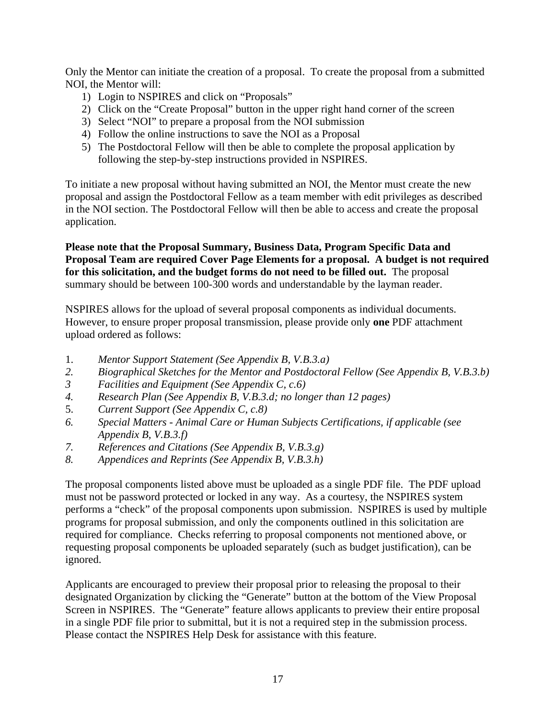Only the Mentor can initiate the creation of a proposal. To create the proposal from a submitted NOI, the Mentor will:

- 1) Login to NSPIRES and click on "Proposals"
- 2) Click on the "Create Proposal" button in the upper right hand corner of the screen
- 3) Select "NOI" to prepare a proposal from the NOI submission
- 4) Follow the online instructions to save the NOI as a Proposal
- 5) The Postdoctoral Fellow will then be able to complete the proposal application by following the step-by-step instructions provided in NSPIRES.

To initiate a new proposal without having submitted an NOI, the Mentor must create the new proposal and assign the Postdoctoral Fellow as a team member with edit privileges as described in the NOI section. The Postdoctoral Fellow will then be able to access and create the proposal application.

**Please note that the Proposal Summary, Business Data, Program Specific Data and Proposal Team are required Cover Page Elements for a proposal. A budget is not required for this solicitation, and the budget forms do not need to be filled out.** The proposal summary should be between 100-300 words and understandable by the layman reader.

NSPIRES allows for the upload of several proposal components as individual documents. However, to ensure proper proposal transmission, please provide only **one** PDF attachment upload ordered as follows:

- 1. *Mentor Support Statement (See Appendix B, V.B.3.a)*
- *2. Biographical Sketches for the Mentor and Postdoctoral Fellow (See Appendix B, V.B.3.b)*
- *3 Facilities and Equipment (See Appendix C, c.6)*
- *4. Research Plan (See Appendix B, V.B.3.d; no longer than 12 pages)*
- 5. *Current Support (See Appendix C, c.8)*
- *6. Special Matters Animal Care or Human Subjects Certifications, if applicable (see Appendix B, V.B.3.f)*
- *7. References and Citations (See Appendix B, V.B.3.g)*
- *8. Appendices and Reprints (See Appendix B, V.B.3.h)*

The proposal components listed above must be uploaded as a single PDF file. The PDF upload must not be password protected or locked in any way. As a courtesy, the NSPIRES system performs a "check" of the proposal components upon submission. NSPIRES is used by multiple programs for proposal submission, and only the components outlined in this solicitation are required for compliance. Checks referring to proposal components not mentioned above, or requesting proposal components be uploaded separately (such as budget justification), can be ignored.

Applicants are encouraged to preview their proposal prior to releasing the proposal to their designated Organization by clicking the "Generate" button at the bottom of the View Proposal Screen in NSPIRES. The "Generate" feature allows applicants to preview their entire proposal in a single PDF file prior to submittal, but it is not a required step in the submission process. Please contact the NSPIRES Help Desk for assistance with this feature.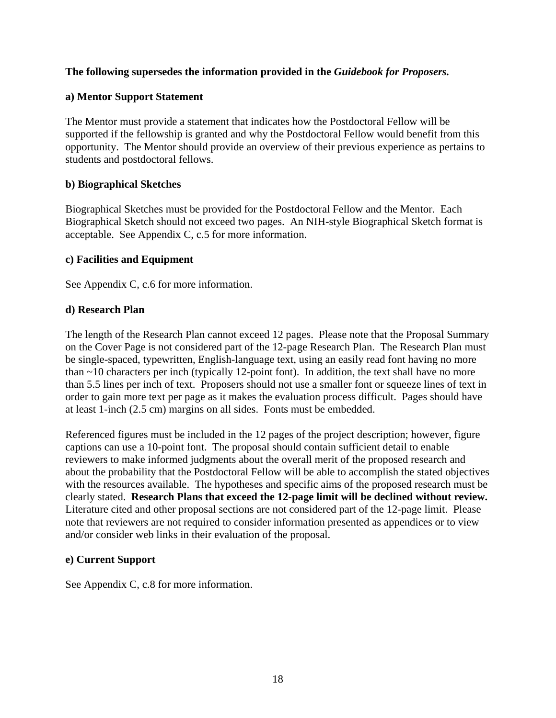#### **The following supersedes the information provided in the** *Guidebook for Proposers.*

#### **a) Mentor Support Statement**

The Mentor must provide a statement that indicates how the Postdoctoral Fellow will be supported if the fellowship is granted and why the Postdoctoral Fellow would benefit from this opportunity. The Mentor should provide an overview of their previous experience as pertains to students and postdoctoral fellows.

#### **b) Biographical Sketches**

Biographical Sketches must be provided for the Postdoctoral Fellow and the Mentor. Each Biographical Sketch should not exceed two pages. An NIH-style Biographical Sketch format is acceptable. See Appendix C, c.5 for more information.

#### **c) Facilities and Equipment**

See Appendix C, c.6 for more information.

#### **d) Research Plan**

The length of the Research Plan cannot exceed 12 pages. Please note that the Proposal Summary on the Cover Page is not considered part of the 12-page Research Plan. The Research Plan must be single-spaced, typewritten, English-language text, using an easily read font having no more than ~10 characters per inch (typically 12-point font). In addition, the text shall have no more than 5.5 lines per inch of text. Proposers should not use a smaller font or squeeze lines of text in order to gain more text per page as it makes the evaluation process difficult. Pages should have at least 1-inch (2.5 cm) margins on all sides. Fonts must be embedded.

Referenced figures must be included in the 12 pages of the project description; however, figure captions can use a 10-point font. The proposal should contain sufficient detail to enable reviewers to make informed judgments about the overall merit of the proposed research and about the probability that the Postdoctoral Fellow will be able to accomplish the stated objectives with the resources available. The hypotheses and specific aims of the proposed research must be clearly stated. **Research Plans that exceed the 12-page limit will be declined without review.**  Literature cited and other proposal sections are not considered part of the 12-page limit. Please note that reviewers are not required to consider information presented as appendices or to view and/or consider web links in their evaluation of the proposal.

#### **e) Current Support**

See Appendix C, c.8 for more information.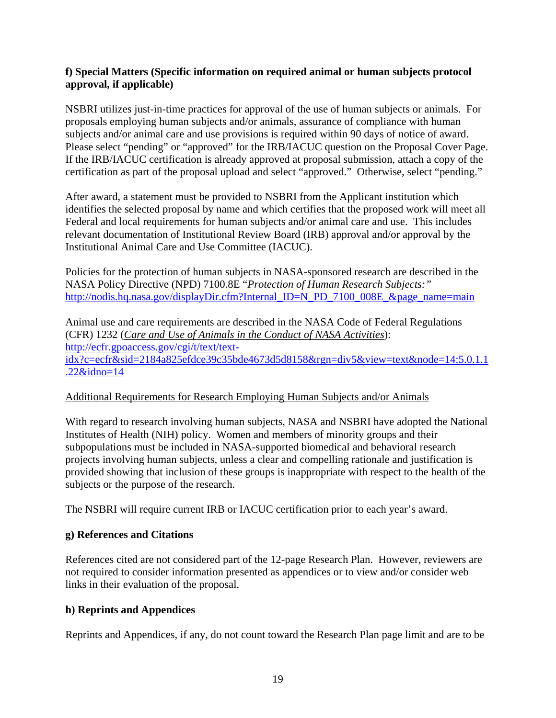## **f) Special Matters (Specific information on required animal or human subjects protocol approval, if applicable)**

NSBRI utilizes just-in-time practices for approval of the use of human subjects or animals. For proposals employing human subjects and/or animals, assurance of compliance with human subjects and/or animal care and use provisions is required within 90 days of notice of award. Please select "pending" or "approved" for the IRB/IACUC question on the Proposal Cover Page. If the IRB/IACUC certification is already approved at proposal submission, attach a copy of the certification as part of the proposal upload and select "approved." Otherwise, select "pending."

After award, a statement must be provided to NSBRI from the Applicant institution which identifies the selected proposal by name and which certifies that the proposed work will meet all Federal and local requirements for human subjects and/or animal care and use. This includes relevant documentation of Institutional Review Board (IRB) approval and/or approval by the Institutional Animal Care and Use Committee (IACUC).

Policies for the protection of human subjects in NASA-sponsored research are described in the NASA Policy Directive (NPD) 7100.8E "*Protection of Human Research Subjects:"* [http://nodis.hq.nasa.gov/displayDir.cfm?Internal\\_ID=N\\_PD\\_7100\\_008E\\_&page\\_name=main](http://nodis.hq.nasa.gov/displayDir.cfm?Internal_ID=N_PD_7100_008E_&page_name=main)

Animal use and care requirements are described in the NASA Code of Federal Regulations (CFR) 1232 (*[Care and Use of Animals in the Conduct of NASA Activities](http://ecfr.gpoaccess.gov/cgi/t/text/text-idx?c=ecfr&sid=2184a825efdce39c35bde4673d5d8158&rgn=div5&view=text&node=14:5.0.1.1.22&idno=14)*): [http://ecfr.gpoaccess.gov/cgi/t/text/text](http://ecfr.gpoaccess.gov/cgi/t/text/text-idx?c=ecfr&sid=2184a825efdce39c35bde4673d5d8158&rgn=div5&view=text&node=14:5.0.1.1.22&idno=14)[idx?c=ecfr&sid=2184a825efdce39c35bde4673d5d8158&rgn=div5&view=text&node=14:5.0.1.1](http://ecfr.gpoaccess.gov/cgi/t/text/text-idx?c=ecfr&sid=2184a825efdce39c35bde4673d5d8158&rgn=div5&view=text&node=14:5.0.1.1.22&idno=14) [.22&idno=14](http://ecfr.gpoaccess.gov/cgi/t/text/text-idx?c=ecfr&sid=2184a825efdce39c35bde4673d5d8158&rgn=div5&view=text&node=14:5.0.1.1.22&idno=14)

## Additional Requirements for Research Employing Human Subjects and/or Animals

With regard to research involving human subjects, NASA and NSBRI have adopted the National Institutes of Health (NIH) policy. Women and members of minority groups and their subpopulations must be included in NASA-supported biomedical and behavioral research projects involving human subjects, unless a clear and compelling rationale and justification is provided showing that inclusion of these groups is inappropriate with respect to the health of the subjects or the purpose of the research.

The NSBRI will require current IRB or IACUC certification prior to each year's award.

## **g) References and Citations**

References cited are not considered part of the 12-page Research Plan. However, reviewers are not required to consider information presented as appendices or to view and/or consider web links in their evaluation of the proposal.

## **h) Reprints and Appendices**

Reprints and Appendices, if any, do not count toward the Research Plan page limit and are to be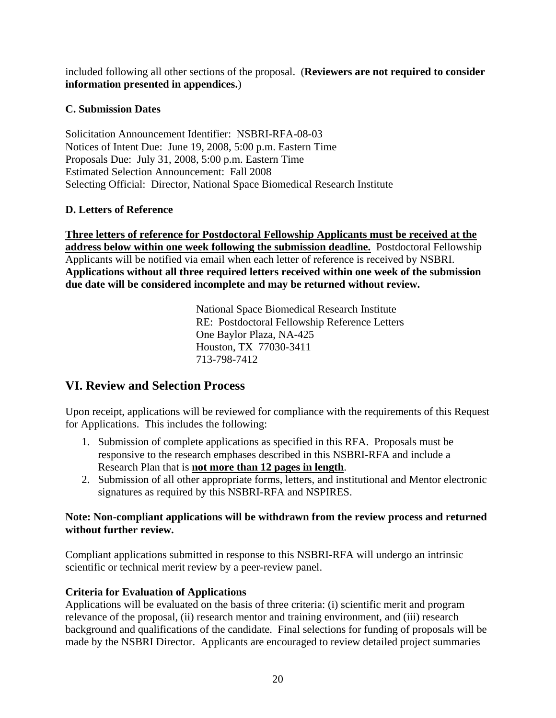included following all other sections of the proposal. (**Reviewers are not required to consider information presented in appendices.**)

## **C. Submission Dates**

Solicitation Announcement Identifier: NSBRI-RFA-08-03 Notices of Intent Due: June 19, 2008, 5:00 p.m. Eastern Time Proposals Due: July 31, 2008, 5:00 p.m. Eastern Time Estimated Selection Announcement: Fall 2008 Selecting Official: Director, National Space Biomedical Research Institute

## **D. Letters of Reference**

**Three letters of reference for Postdoctoral Fellowship Applicants must be received at the address below within one week following the submission deadline.** Postdoctoral Fellowship Applicants will be notified via email when each letter of reference is received by NSBRI. **Applications without all three required letters received within one week of the submission due date will be considered incomplete and may be returned without review.**

> National Space Biomedical Research Institute RE: Postdoctoral Fellowship Reference Letters One Baylor Plaza, NA-425 Houston, TX 77030-3411 713-798-7412

# **VI. Review and Selection Process**

Upon receipt, applications will be reviewed for compliance with the requirements of this Request for Applications. This includes the following:

- 1. Submission of complete applications as specified in this RFA. Proposals must be responsive to the research emphases described in this NSBRI-RFA and include a Research Plan that is **not more than 12 pages in length**.
- 2. Submission of all other appropriate forms, letters, and institutional and Mentor electronic signatures as required by this NSBRI-RFA and NSPIRES.

#### **Note: Non-compliant applications will be withdrawn from the review process and returned without further review.**

Compliant applications submitted in response to this NSBRI-RFA will undergo an intrinsic scientific or technical merit review by a peer-review panel.

## **Criteria for Evaluation of Applications**

Applications will be evaluated on the basis of three criteria: (i) scientific merit and program relevance of the proposal, (ii) research mentor and training environment, and (iii) research background and qualifications of the candidate. Final selections for funding of proposals will be made by the NSBRI Director. Applicants are encouraged to review detailed project summaries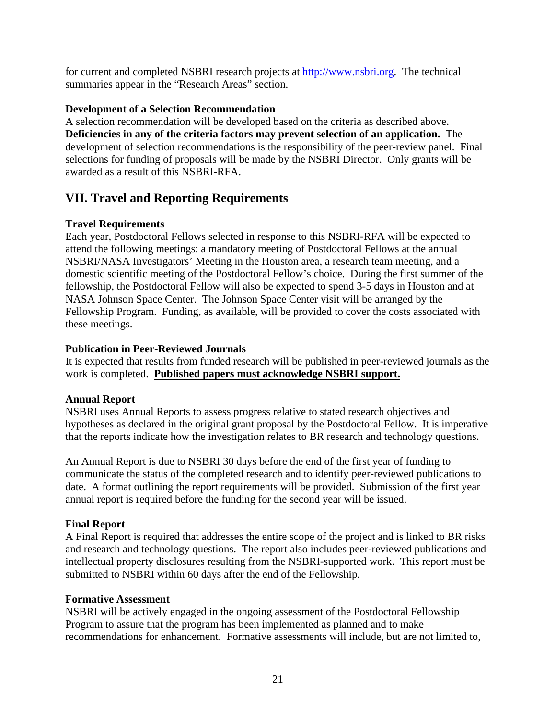for current and completed NSBRI research projects at [http://www.nsbri.org.](http://www.nsbri.org/) The technical summaries appear in the "Research Areas" section.

#### **Development of a Selection Recommendation**

A selection recommendation will be developed based on the criteria as described above. **Deficiencies in any of the criteria factors may prevent selection of an application.** The development of selection recommendations is the responsibility of the peer-review panel. Final selections for funding of proposals will be made by the NSBRI Director. Only grants will be awarded as a result of this NSBRI-RFA.

# **VII. Travel and Reporting Requirements**

#### **Travel Requirements**

Each year, Postdoctoral Fellows selected in response to this NSBRI-RFA will be expected to attend the following meetings: a mandatory meeting of Postdoctoral Fellows at the annual NSBRI/NASA Investigators' Meeting in the Houston area, a research team meeting, and a domestic scientific meeting of the Postdoctoral Fellow's choice. During the first summer of the fellowship, the Postdoctoral Fellow will also be expected to spend 3-5 days in Houston and at NASA Johnson Space Center. The Johnson Space Center visit will be arranged by the Fellowship Program. Funding, as available, will be provided to cover the costs associated with these meetings.

#### **Publication in Peer-Reviewed Journals**

It is expected that results from funded research will be published in peer-reviewed journals as the work is completed. **Published papers must acknowledge NSBRI support.**

#### **Annual Report**

NSBRI uses Annual Reports to assess progress relative to stated research objectives and hypotheses as declared in the original grant proposal by the Postdoctoral Fellow. It is imperative that the reports indicate how the investigation relates to BR research and technology questions.

An Annual Report is due to NSBRI 30 days before the end of the first year of funding to communicate the status of the completed research and to identify peer-reviewed publications to date. A format outlining the report requirements will be provided. Submission of the first year annual report is required before the funding for the second year will be issued.

## **Final Report**

A Final Report is required that addresses the entire scope of the project and is linked to BR risks and research and technology questions. The report also includes peer-reviewed publications and intellectual property disclosures resulting from the NSBRI-supported work. This report must be submitted to NSBRI within 60 days after the end of the Fellowship.

#### **Formative Assessment**

NSBRI will be actively engaged in the ongoing assessment of the Postdoctoral Fellowship Program to assure that the program has been implemented as planned and to make recommendations for enhancement. Formative assessments will include, but are not limited to,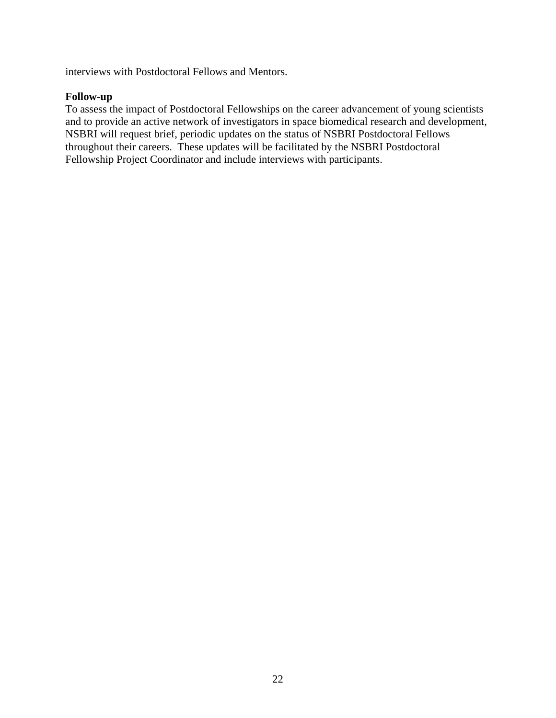interviews with Postdoctoral Fellows and Mentors.

#### **Follow-up**

To assess the impact of Postdoctoral Fellowships on the career advancement of young scientists and to provide an active network of investigators in space biomedical research and development, NSBRI will request brief, periodic updates on the status of NSBRI Postdoctoral Fellows throughout their careers. These updates will be facilitated by the NSBRI Postdoctoral Fellowship Project Coordinator and include interviews with participants.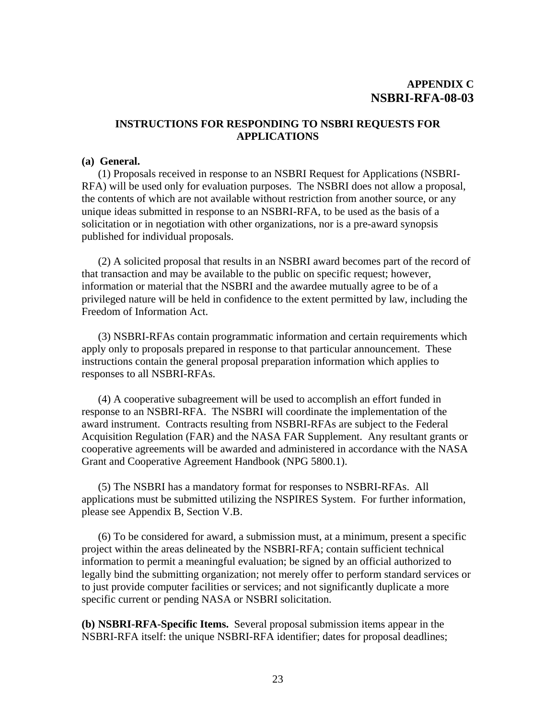#### **INSTRUCTIONS FOR RESPONDING TO NSBRI REQUESTS FOR APPLICATIONS**

#### **(a) General.**

 (1) Proposals received in response to an NSBRI Request for Applications (NSBRI-RFA) will be used only for evaluation purposes. The NSBRI does not allow a proposal, the contents of which are not available without restriction from another source, or any unique ideas submitted in response to an NSBRI-RFA, to be used as the basis of a solicitation or in negotiation with other organizations, nor is a pre-award synopsis published for individual proposals.

 (2) A solicited proposal that results in an NSBRI award becomes part of the record of that transaction and may be available to the public on specific request; however, information or material that the NSBRI and the awardee mutually agree to be of a privileged nature will be held in confidence to the extent permitted by law, including the Freedom of Information Act.

(3) NSBRI-RFAs contain programmatic information and certain requirements which apply only to proposals prepared in response to that particular announcement. These instructions contain the general proposal preparation information which applies to responses to all NSBRI-RFAs.

(4) A cooperative subagreement will be used to accomplish an effort funded in response to an NSBRI-RFA. The NSBRI will coordinate the implementation of the award instrument. Contracts resulting from NSBRI-RFAs are subject to the Federal Acquisition Regulation (FAR) and the NASA FAR Supplement. Any resultant grants or cooperative agreements will be awarded and administered in accordance with the NASA Grant and Cooperative Agreement Handbook (NPG 5800.1).

 (5) The NSBRI has a mandatory format for responses to NSBRI-RFAs. All applications must be submitted utilizing the NSPIRES System. For further information, please see Appendix B, Section V.B.

 (6) To be considered for award, a submission must, at a minimum, present a specific project within the areas delineated by the NSBRI-RFA; contain sufficient technical information to permit a meaningful evaluation; be signed by an official authorized to legally bind the submitting organization; not merely offer to perform standard services or to just provide computer facilities or services; and not significantly duplicate a more specific current or pending NASA or NSBRI solicitation.

**(b) NSBRI-RFA-Specific Items.** Several proposal submission items appear in the NSBRI-RFA itself: the unique NSBRI-RFA identifier; dates for proposal deadlines;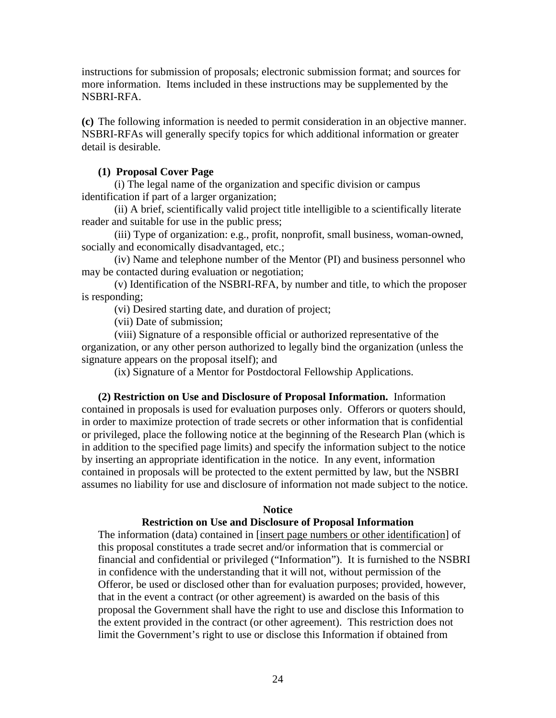instructions for submission of proposals; electronic submission format; and sources for more information. Items included in these instructions may be supplemented by the NSBRI-RFA.

**(c)** The following information is needed to permit consideration in an objective manner. NSBRI-RFAs will generally specify topics for which additional information or greater detail is desirable.

#### **(1) Proposal Cover Page**

 (i) The legal name of the organization and specific division or campus identification if part of a larger organization;

 (ii) A brief, scientifically valid project title intelligible to a scientifically literate reader and suitable for use in the public press;

 (iii) Type of organization: e.g., profit, nonprofit, small business, woman-owned, socially and economically disadvantaged, etc.;

 (iv) Name and telephone number of the Mentor (PI) and business personnel who may be contacted during evaluation or negotiation;

 (v) Identification of the NSBRI-RFA, by number and title, to which the proposer is responding;

(vi) Desired starting date, and duration of project;

(vii) Date of submission;

 (viii) Signature of a responsible official or authorized representative of the organization, or any other person authorized to legally bind the organization (unless the signature appears on the proposal itself); and

(ix) Signature of a Mentor for Postdoctoral Fellowship Applications.

 **(2) Restriction on Use and Disclosure of Proposal Information.** Information contained in proposals is used for evaluation purposes only. Offerors or quoters should, in order to maximize protection of trade secrets or other information that is confidential or privileged, place the following notice at the beginning of the Research Plan (which is in addition to the specified page limits) and specify the information subject to the notice by inserting an appropriate identification in the notice. In any event, information contained in proposals will be protected to the extent permitted by law, but the NSBRI assumes no liability for use and disclosure of information not made subject to the notice.

#### **Notice**

#### **Restriction on Use and Disclosure of Proposal Information**

The information (data) contained in [insert page numbers or other identification] of this proposal constitutes a trade secret and/or information that is commercial or financial and confidential or privileged ("Information"). It is furnished to the NSBRI in confidence with the understanding that it will not, without permission of the Offeror, be used or disclosed other than for evaluation purposes; provided, however, that in the event a contract (or other agreement) is awarded on the basis of this proposal the Government shall have the right to use and disclose this Information to the extent provided in the contract (or other agreement). This restriction does not limit the Government's right to use or disclose this Information if obtained from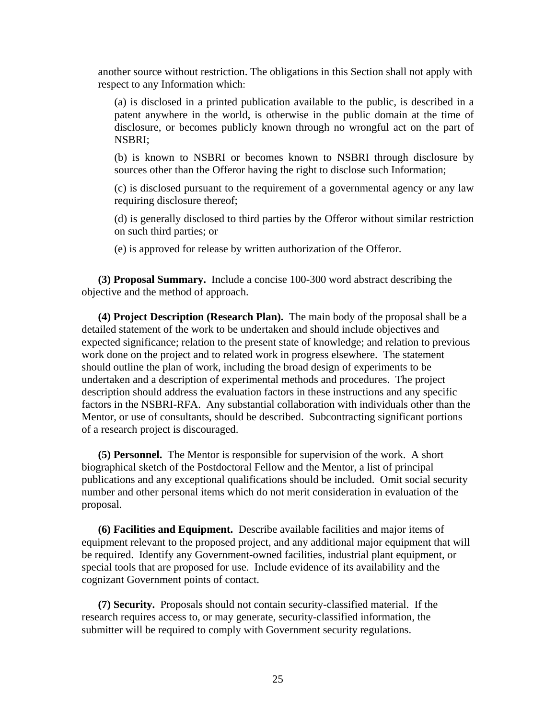another source without restriction. The obligations in this Section shall not apply with respect to any Information which:

(a) is disclosed in a printed publication available to the public, is described in a patent anywhere in the world, is otherwise in the public domain at the time of disclosure, or becomes publicly known through no wrongful act on the part of NSBRI;

(b) is known to NSBRI or becomes known to NSBRI through disclosure by sources other than the Offeror having the right to disclose such Information;

(c) is disclosed pursuant to the requirement of a governmental agency or any law requiring disclosure thereof;

(d) is generally disclosed to third parties by the Offeror without similar restriction on such third parties; or

(e) is approved for release by written authorization of the Offeror.

 **(3) Proposal Summary.** Include a concise 100-300 word abstract describing the objective and the method of approach.

 **(4) Project Description (Research Plan).** The main body of the proposal shall be a detailed statement of the work to be undertaken and should include objectives and expected significance; relation to the present state of knowledge; and relation to previous work done on the project and to related work in progress elsewhere. The statement should outline the plan of work, including the broad design of experiments to be undertaken and a description of experimental methods and procedures. The project description should address the evaluation factors in these instructions and any specific factors in the NSBRI-RFA. Any substantial collaboration with individuals other than the Mentor, or use of consultants, should be described. Subcontracting significant portions of a research project is discouraged.

 **(5) Personnel.** The Mentor is responsible for supervision of the work. A short biographical sketch of the Postdoctoral Fellow and the Mentor, a list of principal publications and any exceptional qualifications should be included. Omit social security number and other personal items which do not merit consideration in evaluation of the proposal.

 **(6) Facilities and Equipment.** Describe available facilities and major items of equipment relevant to the proposed project, and any additional major equipment that will be required. Identify any Government-owned facilities, industrial plant equipment, or special tools that are proposed for use. Include evidence of its availability and the cognizant Government points of contact.

 **(7) Security.** Proposals should not contain security-classified material. If the research requires access to, or may generate, security-classified information, the submitter will be required to comply with Government security regulations.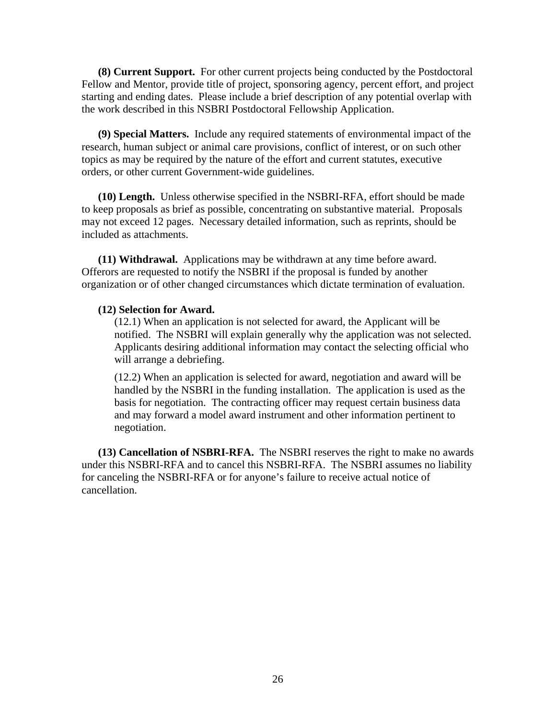**(8) Current Support.** For other current projects being conducted by the Postdoctoral Fellow and Mentor, provide title of project, sponsoring agency, percent effort, and project starting and ending dates. Please include a brief description of any potential overlap with the work described in this NSBRI Postdoctoral Fellowship Application.

 **(9) Special Matters.** Include any required statements of environmental impact of the research, human subject or animal care provisions, conflict of interest, or on such other topics as may be required by the nature of the effort and current statutes, executive orders, or other current Government-wide guidelines.

 **(10) Length.** Unless otherwise specified in the NSBRI-RFA, effort should be made to keep proposals as brief as possible, concentrating on substantive material. Proposals may not exceed 12 pages. Necessary detailed information, such as reprints, should be included as attachments.

 **(11) Withdrawal.** Applications may be withdrawn at any time before award. Offerors are requested to notify the NSBRI if the proposal is funded by another organization or of other changed circumstances which dictate termination of evaluation.

#### **(12) Selection for Award.**

(12.1) When an application is not selected for award, the Applicant will be notified. The NSBRI will explain generally why the application was not selected. Applicants desiring additional information may contact the selecting official who will arrange a debriefing.

(12.2) When an application is selected for award, negotiation and award will be handled by the NSBRI in the funding installation. The application is used as the basis for negotiation. The contracting officer may request certain business data and may forward a model award instrument and other information pertinent to negotiation.

 **(13) Cancellation of NSBRI-RFA.** The NSBRI reserves the right to make no awards under this NSBRI-RFA and to cancel this NSBRI-RFA. The NSBRI assumes no liability for canceling the NSBRI-RFA or for anyone's failure to receive actual notice of cancellation.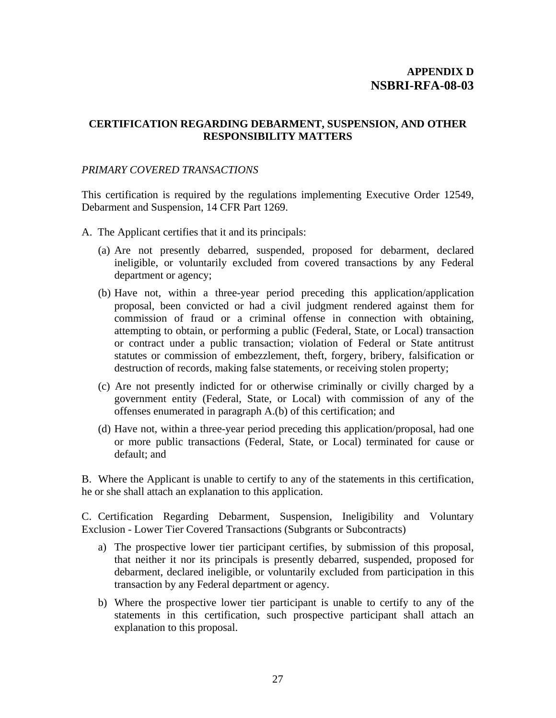#### **CERTIFICATION REGARDING DEBARMENT, SUSPENSION, AND OTHER RESPONSIBILITY MATTERS**

#### *PRIMARY COVERED TRANSACTIONS*

This certification is required by the regulations implementing Executive Order 12549, Debarment and Suspension, 14 CFR Part 1269.

- A. The Applicant certifies that it and its principals:
	- (a) Are not presently debarred, suspended, proposed for debarment, declared ineligible, or voluntarily excluded from covered transactions by any Federal department or agency;
	- (b) Have not, within a three-year period preceding this application/application proposal, been convicted or had a civil judgment rendered against them for commission of fraud or a criminal offense in connection with obtaining, attempting to obtain, or performing a public (Federal, State, or Local) transaction or contract under a public transaction; violation of Federal or State antitrust statutes or commission of embezzlement, theft, forgery, bribery, falsification or destruction of records, making false statements, or receiving stolen property;
	- (c) Are not presently indicted for or otherwise criminally or civilly charged by a government entity (Federal, State, or Local) with commission of any of the offenses enumerated in paragraph A.(b) of this certification; and
	- (d) Have not, within a three-year period preceding this application/proposal, had one or more public transactions (Federal, State, or Local) terminated for cause or default; and

B. Where the Applicant is unable to certify to any of the statements in this certification, he or she shall attach an explanation to this application.

C. Certification Regarding Debarment, Suspension, Ineligibility and Voluntary Exclusion - Lower Tier Covered Transactions (Subgrants or Subcontracts)

- a) The prospective lower tier participant certifies, by submission of this proposal, that neither it nor its principals is presently debarred, suspended, proposed for debarment, declared ineligible, or voluntarily excluded from participation in this transaction by any Federal department or agency.
- b) Where the prospective lower tier participant is unable to certify to any of the statements in this certification, such prospective participant shall attach an explanation to this proposal.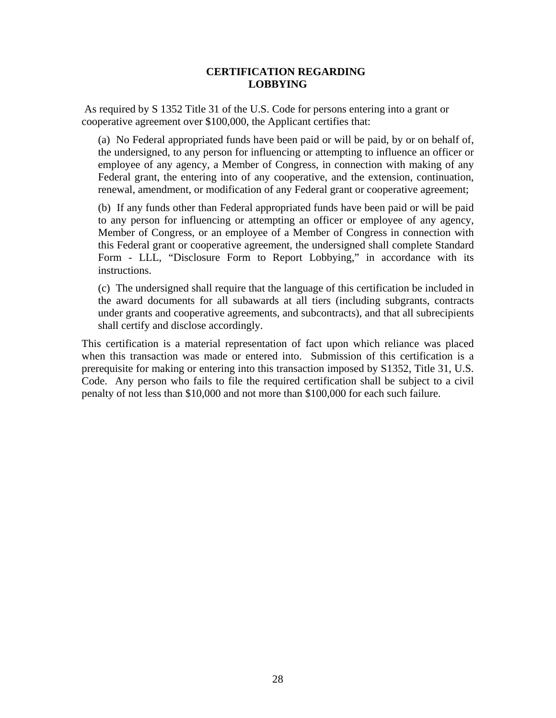#### **CERTIFICATION REGARDING LOBBYING**

 As required by S 1352 Title 31 of the U.S. Code for persons entering into a grant or cooperative agreement over \$100,000, the Applicant certifies that:

(a) No Federal appropriated funds have been paid or will be paid, by or on behalf of, the undersigned, to any person for influencing or attempting to influence an officer or employee of any agency, a Member of Congress, in connection with making of any Federal grant, the entering into of any cooperative, and the extension, continuation, renewal, amendment, or modification of any Federal grant or cooperative agreement;

(b) If any funds other than Federal appropriated funds have been paid or will be paid to any person for influencing or attempting an officer or employee of any agency, Member of Congress, or an employee of a Member of Congress in connection with this Federal grant or cooperative agreement, the undersigned shall complete Standard Form - LLL, "Disclosure Form to Report Lobbying," in accordance with its instructions.

(c) The undersigned shall require that the language of this certification be included in the award documents for all subawards at all tiers (including subgrants, contracts under grants and cooperative agreements, and subcontracts), and that all subrecipients shall certify and disclose accordingly.

This certification is a material representation of fact upon which reliance was placed when this transaction was made or entered into. Submission of this certification is a prerequisite for making or entering into this transaction imposed by S1352, Title 31, U.S. Code. Any person who fails to file the required certification shall be subject to a civil penalty of not less than \$10,000 and not more than \$100,000 for each such failure.